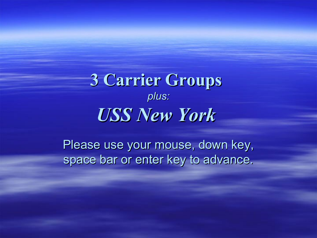**3 Carrier Groups** *plus: USS New York*

Please use your mouse, down key, space bar or enter key to advance.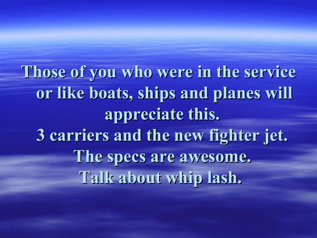**Those of you who were in the service or like boats, ships and planes will appreciate this. 3 carriers and the new fighter jet. The specs are awesome. Talk about whip lash.**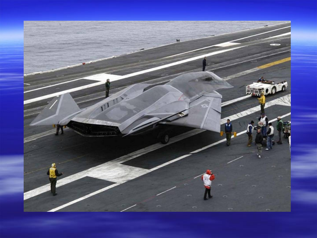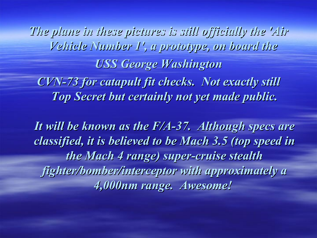*The plane in these pictures is still officially the 'Air Vehicle Number 1', a prototype, on board the USS George Washington CVN-73 for catapult fit checks. Not exactly still Top Secret but certainly not yet made public.*

*It will be known as the F/A-37. Although specs are classified, it is believed to be Mach 3.5 (top speed in the Mach 4 range) super-cruise stealth fighter/bomber/interceptor with approximately a 4,000nm range. Awesome!*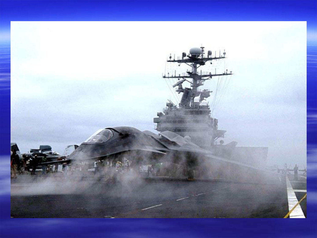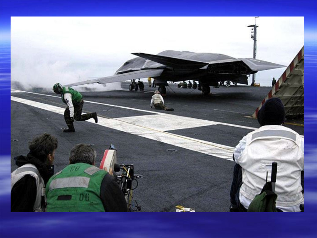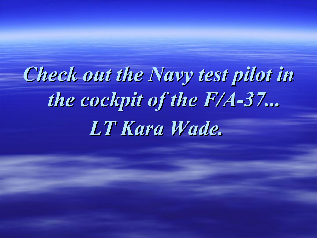*Check out the Navy test pilot in the cockpit of the F/A-37... LT Kara Wade.*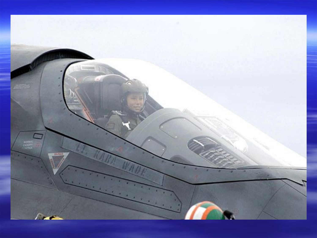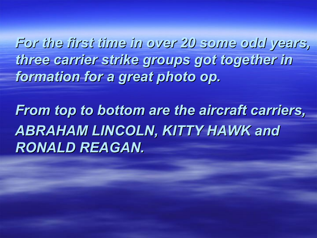*For the first time in over 20 some odd years, three carrier strike groups got together in formation for a great photo op.* 

*From top to bottom are the aircraft carriers, ABRAHAM LINCOLN, KITTY HAWK and RONALD REAGAN.*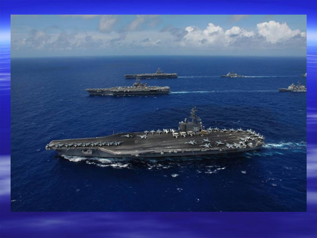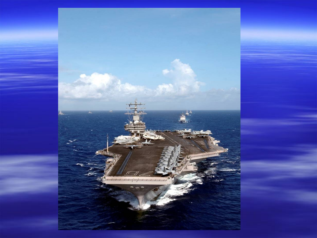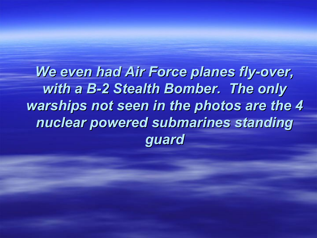*We even had Air Force planes fly-over, with a B-2 Stealth Bomber. The only warships not seen in the photos are the 4 nuclear powered submarines standing guard*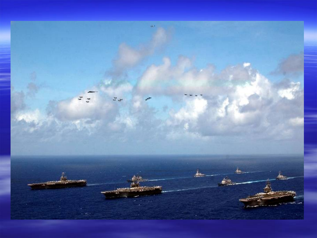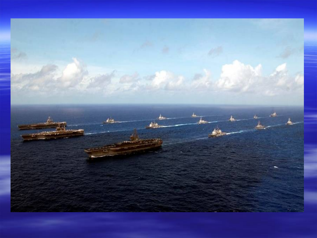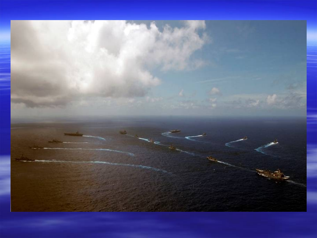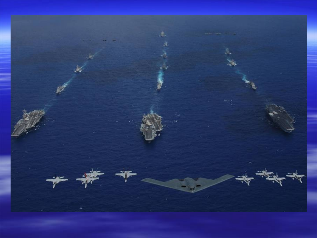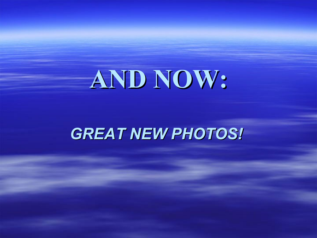## **AND NOW:**

## *GREAT NEW PHOTOS!*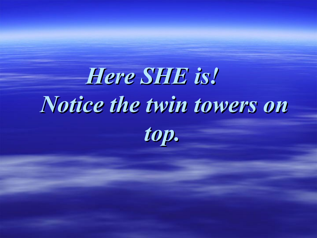## *Here SHE is!*  *Notice the twin towers on top.*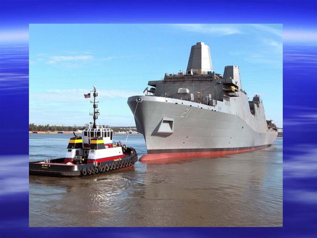![](_page_18_Picture_0.jpeg)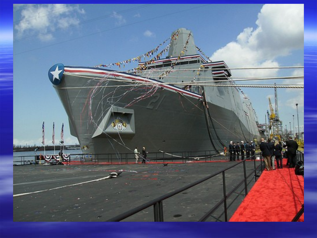![](_page_19_Picture_0.jpeg)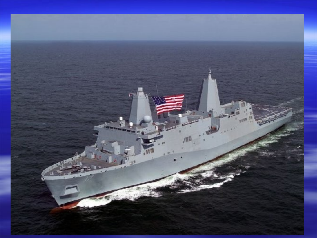![](_page_20_Picture_0.jpeg)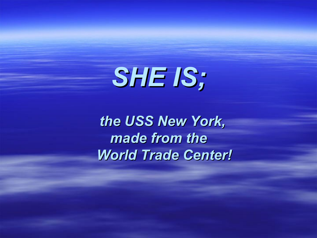## *SHE IS;*

*the USS New York, made from the World Trade Center!*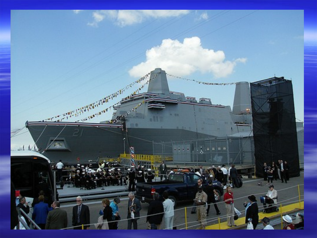![](_page_22_Picture_0.jpeg)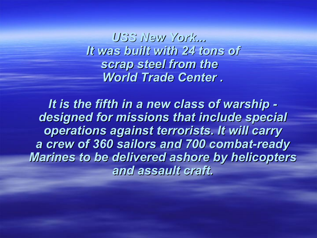*USS New York... It was built with 24 tons of*  scrap steel from the *World Trade Center .* 

*It is the fifth in a new class of warship designed for missions that include special operations against terrorists. It will carry a crew of 360 sailors and 700 combat-ready Marines to be delivered ashore by helicopters and assault craft.*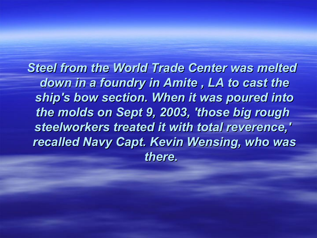*Steel from the World Trade Center was melted down in a foundry in Amite , LA to cast the ship's bow section. When it was poured into the molds on Sept 9, 2003, 'those big rough steelworkers treated it with total reverence,' recalled Navy Capt. Kevin Wensing, who was there.*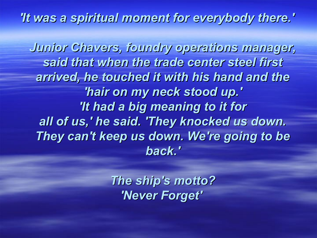*'It was a spiritual moment for everybody there.'* 

*Junior Chavers, foundry operations manager, said that when the trade center steel first arrived, he touched it with his hand and the 'hair on my neck stood up.' 'It had a big meaning to it for all of us,' he said. 'They knocked us down. They can't keep us down. We're going to be back.'* 

> *The ship's motto? 'Never Forget'*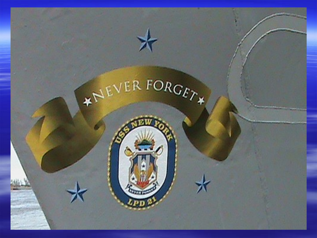![](_page_26_Picture_0.jpeg)